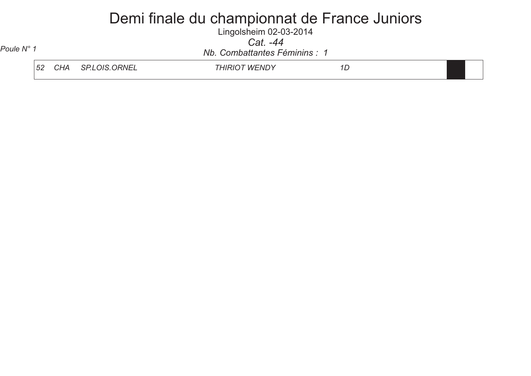Lingolsheim 02-03-2014 *Cat. -44*

*Nb. Combattantes Féminins : 1 Poule N° 1*

| 52 | . .<br>, , ,<br>ີ<br>. | ≀NF<br>$\mathbf{H}$<br>$\overline{1}$<br>,,, | M<br>·NIL<br><b>1</b> M |  |
|----|------------------------|----------------------------------------------|-------------------------|--|
|    |                        |                                              |                         |  |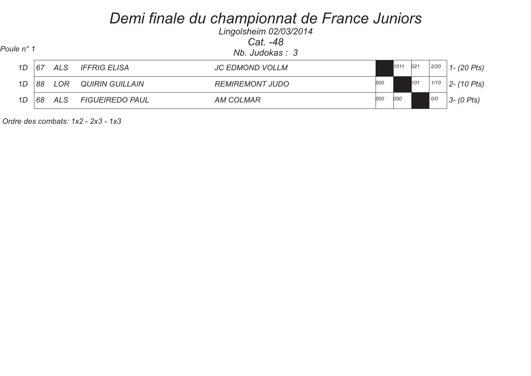| Poule n° 1 |    | Lingolsheim 02/03/2014<br>Cat. -48<br>Nb. Judokas: 3 |                        |                        |     |      |     |      |                |  |
|------------|----|------------------------------------------------------|------------------------|------------------------|-----|------|-----|------|----------------|--|
| 1D         | 67 | <b>ALS</b>                                           | <b>IFFRIG ELISA</b>    | <b>JC EDMOND VOLLM</b> |     | 1011 | 021 | 2/20 | $1 - (20$ Pts) |  |
| 1D         | 88 | <b>LOR</b>                                           | <b>QUIRIN GUILLAIN</b> | <b>REMIREMONT JUDO</b> | 000 |      | 101 | 1/10 | 2 - (10 Pts)   |  |
| 1D         | 68 | ALS                                                  | <b>FIGUEIREDO PAUL</b> | <b>AM COLMAR</b>       | 000 | 000  |     | 0/0  | $3 - (0$ Pts)  |  |

 *Ordre des combats: 1x2 - 2x3 - 1x3*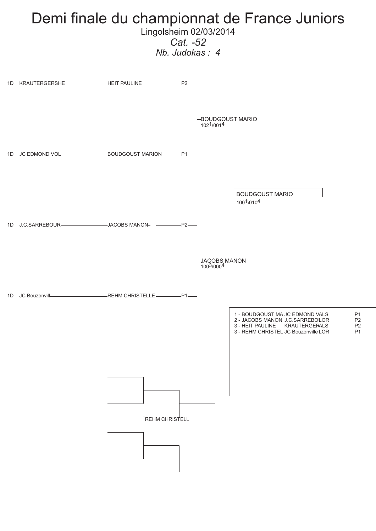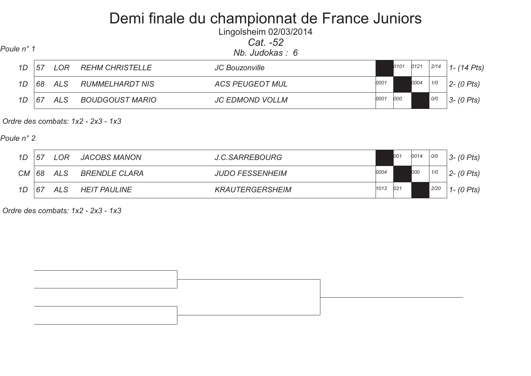Lingolsheim 02/03/2014*Cat. -52*

| Poule n° 1 |    |     |                        | Nb. Judokas :  6       |      |      |      |      |                  |
|------------|----|-----|------------------------|------------------------|------|------|------|------|------------------|
| 1D         | 57 | LOR | <b>REHM CHRISTELLE</b> | JC Bouzonville         |      | 0101 | 0121 | 2/14 | $1 - (14$ Pts)   |
| 1D         | 68 | ALS | <b>RUMMELHARDT NIS</b> | <b>ACS PEUGEOT MUL</b> | 0001 |      | 0004 | 1/0  | $2 - (0 \, Pts)$ |
| 1D         | 67 | ALS | <b>BOUDGOUST MARIO</b> | <b>JC EDMOND VOLLM</b> | 0001 | 000  |      | 0/0  | $3 - (0$ Pts)    |

 *Ordre des combats: 1x2 - 2x3 - 1x3* 

*Poule n° 2*

| 1D        | 57 | _OR        | <b>JACOBS MANON</b>  | J.C.SARREBOURG         |      | 001 | 0014 | O/O  | $3 - (0$ Pts)    |
|-----------|----|------------|----------------------|------------------------|------|-----|------|------|------------------|
| <b>CM</b> | 68 | <b>ALS</b> | <b>BRENDLE CLARA</b> | <b>JUDO FESSENHEIM</b> | 0004 |     | 000  | 1/0  | $2 - (0 \, Pts)$ |
| 1D        | 67 | ALS        | <b>HEIT PAULINE</b>  | <b>KRAUTERGERSHEIM</b> | 1013 | 021 |      | 2/20 | 1 - $(0 \; Pts)$ |

 *Ordre des combats: 1x2 - 2x3 - 1x3* 

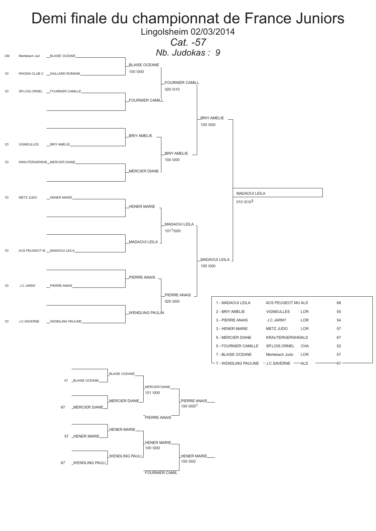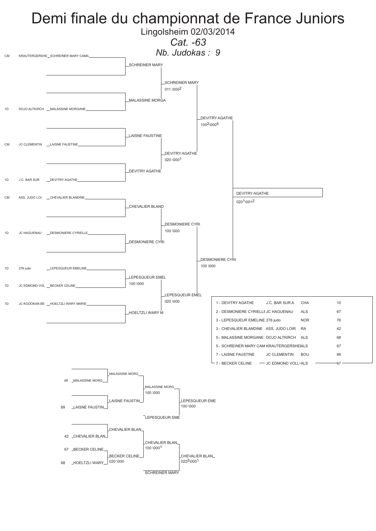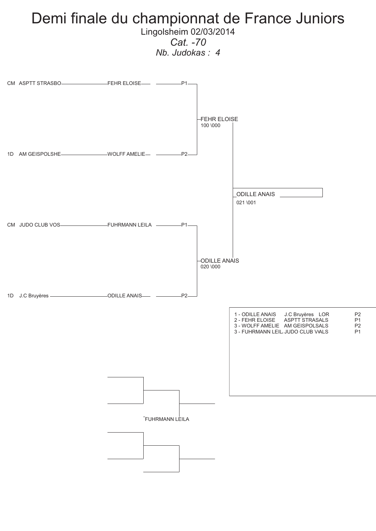### Demi finale du championnat de France Juniors Lingolsheim 02/03/2014

*Cat. -70*

*Nb. Judokas : 4*

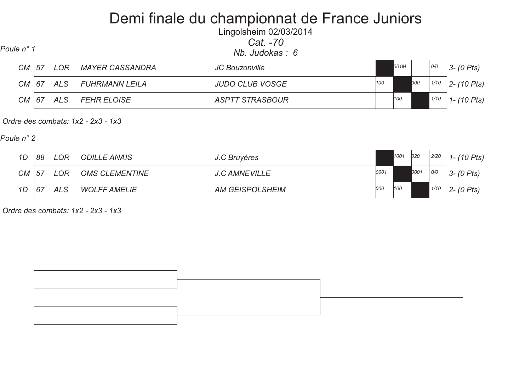Lingolsheim 02/03/2014*Cat. -70*

| Poule n° 1 |
|------------|
|------------|

*Nb. Judokas : 6 Poule n° 1*

| <b>CM</b> | .57 | .OR | <b>MAYER CASSANDRA</b> | JC Bouzonville         |     | 001M |     | 0/0  | $3 - (0$ Pts)  |  |
|-----------|-----|-----|------------------------|------------------------|-----|------|-----|------|----------------|--|
| <b>CM</b> | 67  | ALS | <b>FUHRMANN LEILA</b>  | <b>JUDO CLUB VOSGE</b> | 100 |      | 000 | 1/10 | $2 - (10$ Pts) |  |
| СM        | 67  | ALS | <b>FEHR ELOISE</b>     | <b>ASPTT STRASBOUR</b> |     | 100  |     | 1/10 | $1 - (10$ Pts) |  |

 *Ordre des combats: 1x2 - 2x3 - 1x3* 

*Poule n° 2*

| 1D        | 88  | LOR. | <b>ODILLE ANAIS</b>   | J.C Bruyères           |      | 1001 | 020  | 2/20 | 1-(10 Pts)       |
|-----------|-----|------|-----------------------|------------------------|------|------|------|------|------------------|
| <b>CM</b> | .57 | LOR  | <b>OMS CLEMENTINE</b> | <b>J.C AMNEVILLE</b>   | 0001 |      | 0001 | 0/0  | $3 - (0$ Pts)    |
| 1D        | 67  | ALS  | <b>WOLFF AMELIE</b>   | <b>AM GEISPOLSHEIM</b> | 000  | 100  |      | 1/10 | $2 - (0 \, Pts)$ |

 *Ordre des combats: 1x2 - 2x3 - 1x3* 

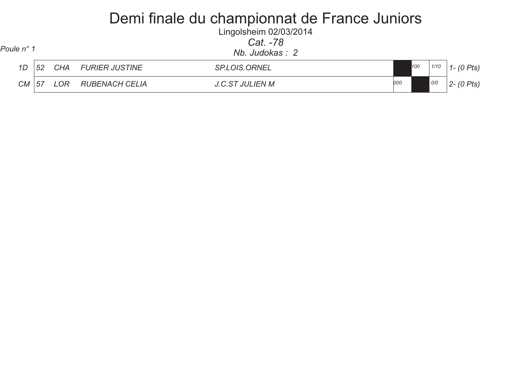Lingolsheim 02/03/2014 *Cat. -78*

| Poule n° 1 |    |            |                       | <u>Gal. -70</u><br>Nb. Judokas: 2 |     |     |      |                       |
|------------|----|------------|-----------------------|-----------------------------------|-----|-----|------|-----------------------|
| 1D         | 52 | <b>CHA</b> | <b>FURIER JUSTINE</b> | <b>SP.LOIS.ORNEL</b>              |     | 100 | 1/10 | $-$ (0 Pts)           |
| CM   57    |    | LOR        | RUBENACH CELIA        | <b>J.C.ST JULIEN M</b>            | 000 |     | 0/0  | $0$ Pts)<br>$2 - (0)$ |